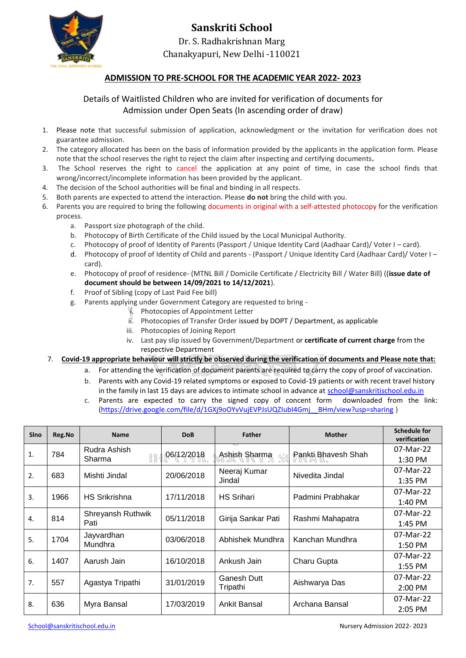

## **Sanskriti School** Dr. S. Radhakrishnan Marg Chanakyapuri, New Delhi -110021

## **ADMISSION TO PRE-SCHOOL FOR THE ACADEMIC YEAR 2022- 2023**

## Details of Waitlisted Children who are invited for verification of documents for Admission under Open Seats (In ascending order of draw)

- 1. Please note that successful submission of application, acknowledgment or the invitation for verification does not guarantee admission.
- 2. The category allocated has been on the basis of information provided by the applicants in the application form. Please note that the school reserves the right to reject the claim after inspecting and certifying documents*.*
- 3. The School reserves the right to cancel the application at any point of time, in case the school finds that wrong/incorrect/incomplete information has been provided by the applicant.
- 4. The decision of the School authorities will be final and binding in all respects.
- 5. Both parents are expected to attend the interaction. Please **do not** bring the child with you.
- 6. Parents you are required to bring the following documents in original with a self-attested photocopy for the verification process.
	- a. Passport size photograph of the child.
	- b. Photocopy of Birth Certificate of the Child issued by the Local Municipal Authority.
	- c. Photocopy of proof of Identity of Parents (Passport / Unique Identity Card (Aadhaar Card)/ Voter I card).
	- d. Photocopy of proof of Identity of Child and parents (Passport / Unique Identity Card (Aadhaar Card)/ Voter I card).
	- e. Photocopy of proof of residence- (MTNL Bill / Domicile Certificate / Electricity Bill / Water Bill) ((**issue date of document should be between 14/09/2021 to 14/12/2021**).
	- f. Proof of Sibling (copy of Last Paid Fee bill)
	- g. Parents applying under Government Category are requested to bring
		- i. Photocopies of Appointment Letter
		- ii. Photocopies of Transfer Order issued by DOPT / Department, as applicable
		- iii. Photocopies of Joining Report
		- iv. Last pay slip issued by Government/Department or **certificate of current charge** from the respective Department
- 7. **Covid-19 appropriate behaviour will strictly be observed during the verification of documents and Please note that:**
	- a. For attending the verification of document parents are required to carry the copy of proof of vaccination.
	- b. Parents with any Covid-19 related symptoms or exposed to Covid-19 patients or with recent travel history in the family in last 15 days are advices to intimate school in advance at [school@sanskritischool.edu.in](mailto:school@sanskritischool.edu.in)
	- c. Parents are expected to carry the signed copy of concent form downloaded from the link: [\(https://drive.google.com/file/d/1GXj9oOYvVujEVPJsUQZIubI4Gmj\\_\\_BHm/view?usp=sharing](https://drive.google.com/file/d/1GXj9oOYvVujEVPJsUQZIubI4Gmj__BHm/view?usp=sharing) )

| <b>SIno</b>  | Reg.No | <b>Name</b>               | <b>DoB</b> | <b>Father</b>           | <b>Mother</b>       | <b>Schedule for</b><br>verification |
|--------------|--------|---------------------------|------------|-------------------------|---------------------|-------------------------------------|
| $\mathbf{1}$ | 784    | Rudra Ashish<br>Sharma    | 06/12/2018 | Ashish Sharma           | Pankti Bhavesh Shah | 07-Mar-22                           |
|              |        |                           |            |                         |                     | 1:30 PM                             |
| 2.           | 683    | Mishti Jindal             | 20/06/2018 | Neeraj Kumar<br>Jindal  | Nivedita Jindal     | 07-Mar-22                           |
|              |        |                           |            |                         |                     | 1:35 PM                             |
| 3.           | 1966   | <b>HS Srikrishna</b>      | 17/11/2018 | <b>HS Srihari</b>       | Padmini Prabhakar   | 07-Mar-22                           |
|              |        |                           |            |                         |                     | 1:40 PM                             |
| 4.           | 814    | Shreyansh Ruthwik<br>Pati | 05/11/2018 | Girija Sankar Pati      | Rashmi Mahapatra    | 07-Mar-22                           |
|              |        |                           |            |                         |                     | 1:45 PM                             |
| 5.           | 1704   | Jayvardhan<br>Mundhra     | 03/06/2018 | Abhishek Mundhra        | Kanchan Mundhra     | 07-Mar-22                           |
|              |        |                           |            |                         |                     | 1:50 PM                             |
| 6.           | 1407   | Aarush Jain               | 16/10/2018 | Ankush Jain             | Charu Gupta         | 07-Mar-22                           |
|              |        |                           |            |                         |                     | 1:55 PM                             |
| 7.           | 557    | Agastya Tripathi          | 31/01/2019 | Ganesh Dutt<br>Tripathi | Aishwarya Das       | 07-Mar-22                           |
|              |        |                           |            |                         |                     | 2:00 PM                             |
| 8.           | 636    | Myra Bansal               | 17/03/2019 | <b>Ankit Bansal</b>     | Archana Bansal      | 07-Mar-22                           |
|              |        |                           |            |                         |                     | 2:05 PM                             |